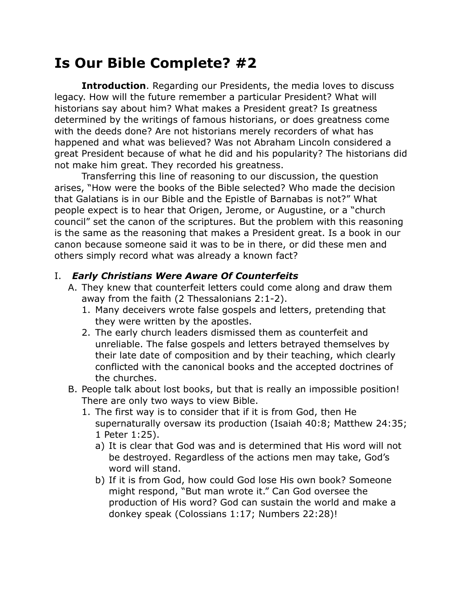## **Is Our Bible Complete? #2**

**Introduction**. Regarding our Presidents, the media loves to discuss legacy. How will the future remember a particular President? What will historians say about him? What makes a President great? Is greatness determined by the writings of famous historians, or does greatness come with the deeds done? Are not historians merely recorders of what has happened and what was believed? Was not Abraham Lincoln considered a great President because of what he did and his popularity? The historians did not make him great. They recorded his greatness.

Transferring this line of reasoning to our discussion, the question arises, "How were the books of the Bible selected? Who made the decision that Galatians is in our Bible and the Epistle of Barnabas is not?" What people expect is to hear that Origen, Jerome, or Augustine, or a "church council" set the canon of the scriptures. But the problem with this reasoning is the same as the reasoning that makes a President great. Is a book in our canon because someone said it was to be in there, or did these men and others simply record what was already a known fact?

## I. *Early Christians Were Aware Of Counterfeits*

- A. They knew that counterfeit letters could come along and draw them away from the faith (2 Thessalonians 2:1-2).
	- 1. Many deceivers wrote false gospels and letters, pretending that they were written by the apostles.
	- 2. The early church leaders dismissed them as counterfeit and unreliable. The false gospels and letters betrayed themselves by their late date of composition and by their teaching, which clearly conflicted with the canonical books and the accepted doctrines of the churches.
- B. People talk about lost books, but that is really an impossible position! There are only two ways to view Bible.
	- 1. The first way is to consider that if it is from God, then He supernaturally oversaw its production (Isaiah 40:8; Matthew 24:35; 1 Peter 1:25).
		- a) It is clear that God was and is determined that His word will not be destroyed. Regardless of the actions men may take, God's word will stand.
		- b) If it is from God, how could God lose His own book? Someone might respond, "But man wrote it." Can God oversee the production of His word? God can sustain the world and make a donkey speak (Colossians 1:17; Numbers 22:28)!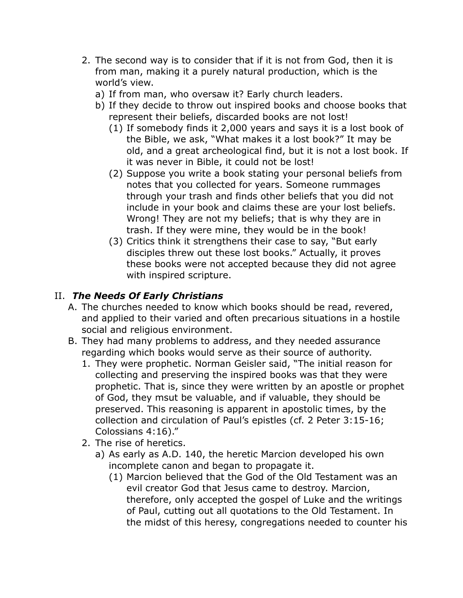- 2. The second way is to consider that if it is not from God, then it is from man, making it a purely natural production, which is the world's view.
	- a) If from man, who oversaw it? Early church leaders.
	- b) If they decide to throw out inspired books and choose books that represent their beliefs, discarded books are not lost!
		- (1) If somebody finds it 2,000 years and says it is a lost book of the Bible, we ask, "What makes it a lost book?" It may be old, and a great archeological find, but it is not a lost book. If it was never in Bible, it could not be lost!
		- (2) Suppose you write a book stating your personal beliefs from notes that you collected for years. Someone rummages through your trash and finds other beliefs that you did not include in your book and claims these are your lost beliefs. Wrong! They are not my beliefs; that is why they are in trash. If they were mine, they would be in the book!
		- (3) Critics think it strengthens their case to say, "But early disciples threw out these lost books." Actually, it proves these books were not accepted because they did not agree with inspired scripture.

## II. *The Needs Of Early Christians*

- A. The churches needed to know which books should be read, revered, and applied to their varied and often precarious situations in a hostile social and religious environment.
- B. They had many problems to address, and they needed assurance regarding which books would serve as their source of authority.
	- 1. They were prophetic. Norman Geisler said, "The initial reason for collecting and preserving the inspired books was that they were prophetic. That is, since they were written by an apostle or prophet of God, they msut be valuable, and if valuable, they should be preserved. This reasoning is apparent in apostolic times, by the collection and circulation of Paul's epistles (cf. 2 Peter 3:15-16; Colossians 4:16)."
	- 2. The rise of heretics.
		- a) As early as A.D. 140, the heretic Marcion developed his own incomplete canon and began to propagate it.
			- (1) Marcion believed that the God of the Old Testament was an evil creator God that Jesus came to destroy. Marcion, therefore, only accepted the gospel of Luke and the writings of Paul, cutting out all quotations to the Old Testament. In the midst of this heresy, congregations needed to counter his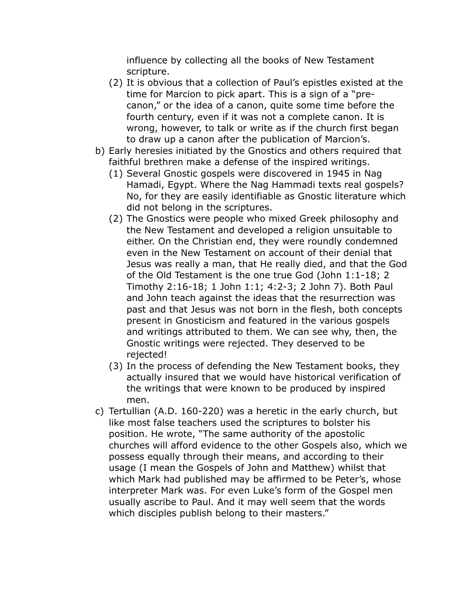influence by collecting all the books of New Testament scripture.

- (2) It is obvious that a collection of Paul's epistles existed at the time for Marcion to pick apart. This is a sign of a "precanon," or the idea of a canon, quite some time before the fourth century, even if it was not a complete canon. It is wrong, however, to talk or write as if the church first began to draw up a canon after the publication of Marcion's.
- b) Early heresies initiated by the Gnostics and others required that faithful brethren make a defense of the inspired writings.
	- (1) Several Gnostic gospels were discovered in 1945 in Nag Hamadi, Egypt. Where the Nag Hammadi texts real gospels? No, for they are easily identifiable as Gnostic literature which did not belong in the scriptures.
	- (2) The Gnostics were people who mixed Greek philosophy and the New Testament and developed a religion unsuitable to either. On the Christian end, they were roundly condemned even in the New Testament on account of their denial that Jesus was really a man, that He really died, and that the God of the Old Testament is the one true God (John 1:1-18; 2 Timothy 2:16-18; 1 John 1:1; 4:2-3; 2 John 7). Both Paul and John teach against the ideas that the resurrection was past and that Jesus was not born in the flesh, both concepts present in Gnosticism and featured in the various gospels and writings attributed to them. We can see why, then, the Gnostic writings were rejected. They deserved to be rejected!
	- (3) In the process of defending the New Testament books, they actually insured that we would have historical verification of the writings that were known to be produced by inspired men.
- c) Tertullian (A.D. 160-220) was a heretic in the early church, but like most false teachers used the scriptures to bolster his position. He wrote, "The same authority of the apostolic churches will afford evidence to the other Gospels also, which we possess equally through their means, and according to their usage (I mean the Gospels of John and Matthew) whilst that which Mark had published may be affirmed to be Peter's, whose interpreter Mark was. For even Luke's form of the Gospel men usually ascribe to Paul. And it may well seem that the words which disciples publish belong to their masters."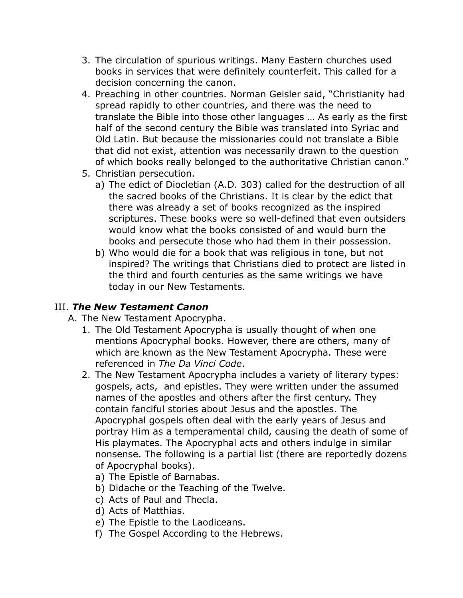- 3. The circulation of spurious writings. Many Eastern churches used books in services that were definitely counterfeit. This called for a decision concerning the canon.
- 4. Preaching in other countries. Norman Geisler said, "Christianity had spread rapidly to other countries, and there was the need to translate the Bible into those other languages … As early as the first half of the second century the Bible was translated into Syriac and Old Latin. But because the missionaries could not translate a Bible that did not exist, attention was necessarily drawn to the question of which books really belonged to the authoritative Christian canon."
- 5. Christian persecution.
	- a) The edict of Diocletian (A.D. 303) called for the destruction of all the sacred books of the Christians. It is clear by the edict that there was already a set of books recognized as the inspired scriptures. These books were so well-defined that even outsiders would know what the books consisted of and would burn the books and persecute those who had them in their possession.
	- b) Who would die for a book that was religious in tone, but not inspired? The writings that Christians died to protect are listed in the third and fourth centuries as the same writings we have today in our New Testaments.

## III. *The New Testament Canon*

- A. The New Testament Apocrypha.
	- 1. The Old Testament Apocrypha is usually thought of when one mentions Apocryphal books. However, there are others, many of which are known as the New Testament Apocrypha. These were referenced in *The Da Vinci Code*.
	- 2. The New Testament Apocrypha includes a variety of literary types: gospels, acts, and epistles. They were written under the assumed names of the apostles and others after the first century. They contain fanciful stories about Jesus and the apostles. The Apocryphal gospels often deal with the early years of Jesus and portray Him as a temperamental child, causing the death of some of His playmates. The Apocryphal acts and others indulge in similar nonsense. The following is a partial list (there are reportedly dozens of Apocryphal books).
		- a) The Epistle of Barnabas.
		- b) Didache or the Teaching of the Twelve.
		- c) Acts of Paul and Thecla.
		- d) Acts of Matthias.
		- e) The Epistle to the Laodiceans.
		- f) The Gospel According to the Hebrews.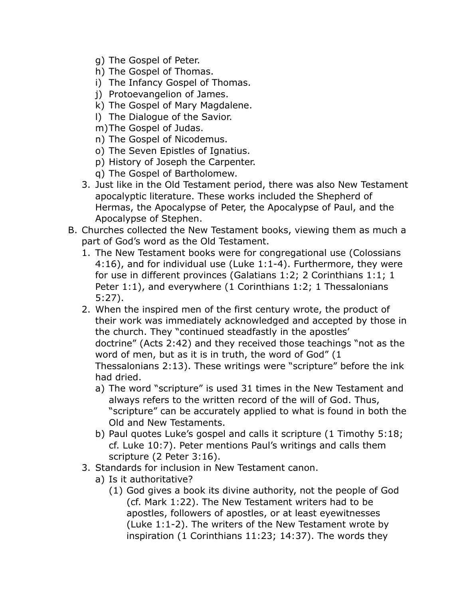- g) The Gospel of Peter.
- h) The Gospel of Thomas.
- i) The Infancy Gospel of Thomas.
- j) Protoevangelion of James.
- k) The Gospel of Mary Magdalene.
- l) The Dialogue of the Savior.
- m)The Gospel of Judas.
- n) The Gospel of Nicodemus.
- o) The Seven Epistles of Ignatius.
- p) History of Joseph the Carpenter.
- q) The Gospel of Bartholomew.
- 3. Just like in the Old Testament period, there was also New Testament apocalyptic literature. These works included the Shepherd of Hermas, the Apocalypse of Peter, the Apocalypse of Paul, and the Apocalypse of Stephen.
- B. Churches collected the New Testament books, viewing them as much a part of God's word as the Old Testament.
	- 1. The New Testament books were for congregational use (Colossians 4:16), and for individual use (Luke 1:1-4). Furthermore, they were for use in different provinces (Galatians 1:2; 2 Corinthians 1:1; 1 Peter 1:1), and everywhere (1 Corinthians 1:2; 1 Thessalonians 5:27).
	- 2. When the inspired men of the first century wrote, the product of their work was immediately acknowledged and accepted by those in the church. They "continued steadfastly in the apostles' doctrine" (Acts 2:42) and they received those teachings "not as the word of men, but as it is in truth, the word of God" (1 Thessalonians 2:13). These writings were "scripture" before the ink had dried.
		- a) The word "scripture" is used 31 times in the New Testament and always refers to the written record of the will of God. Thus, "scripture" can be accurately applied to what is found in both the Old and New Testaments.
		- b) Paul quotes Luke's gospel and calls it scripture (1 Timothy 5:18; cf. Luke 10:7). Peter mentions Paul's writings and calls them scripture (2 Peter 3:16).
	- 3. Standards for inclusion in New Testament canon.
		- a) Is it authoritative?
			- (1) God gives a book its divine authority, not the people of God (cf. Mark 1:22). The New Testament writers had to be apostles, followers of apostles, or at least eyewitnesses (Luke 1:1-2). The writers of the New Testament wrote by inspiration (1 Corinthians 11:23; 14:37). The words they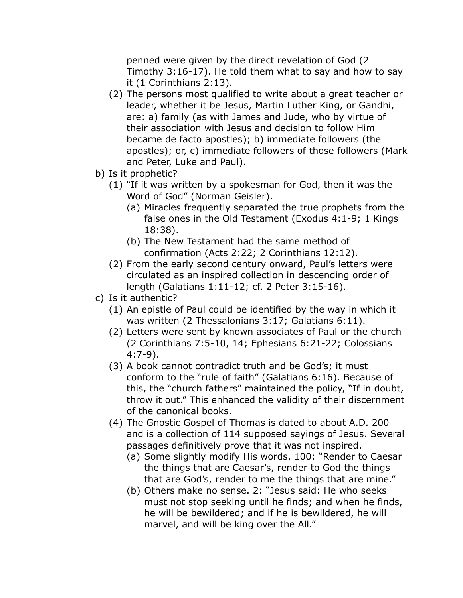penned were given by the direct revelation of God (2 Timothy 3:16-17). He told them what to say and how to say it (1 Corinthians 2:13).

- (2) The persons most qualified to write about a great teacher or leader, whether it be Jesus, Martin Luther King, or Gandhi, are: a) family (as with James and Jude, who by virtue of their association with Jesus and decision to follow Him became de facto apostles); b) immediate followers (the apostles); or, c) immediate followers of those followers (Mark and Peter, Luke and Paul).
- b) Is it prophetic?
	- (1) "If it was written by a spokesman for God, then it was the Word of God" (Norman Geisler).
		- (a) Miracles frequently separated the true prophets from the false ones in the Old Testament (Exodus 4:1-9; 1 Kings 18:38).
		- (b) The New Testament had the same method of confirmation (Acts 2:22; 2 Corinthians 12:12).
	- (2) From the early second century onward, Paul's letters were circulated as an inspired collection in descending order of length (Galatians 1:11-12; cf. 2 Peter 3:15-16).
- c) Is it authentic?
	- (1) An epistle of Paul could be identified by the way in which it was written (2 Thessalonians 3:17; Galatians 6:11).
	- (2) Letters were sent by known associates of Paul or the church (2 Corinthians 7:5-10, 14; Ephesians 6:21-22; Colossians 4:7-9).
	- (3) A book cannot contradict truth and be God's; it must conform to the "rule of faith" (Galatians 6:16). Because of this, the "church fathers" maintained the policy, "If in doubt, throw it out." This enhanced the validity of their discernment of the canonical books.
	- (4) The Gnostic Gospel of Thomas is dated to about A.D. 200 and is a collection of 114 supposed sayings of Jesus. Several passages definitively prove that it was not inspired.
		- (a) Some slightly modify His words. 100: "Render to Caesar the things that are Caesar's, render to God the things that are God's, render to me the things that are mine."
		- (b) Others make no sense. 2: "Jesus said: He who seeks must not stop seeking until he finds; and when he finds, he will be bewildered; and if he is bewildered, he will marvel, and will be king over the All."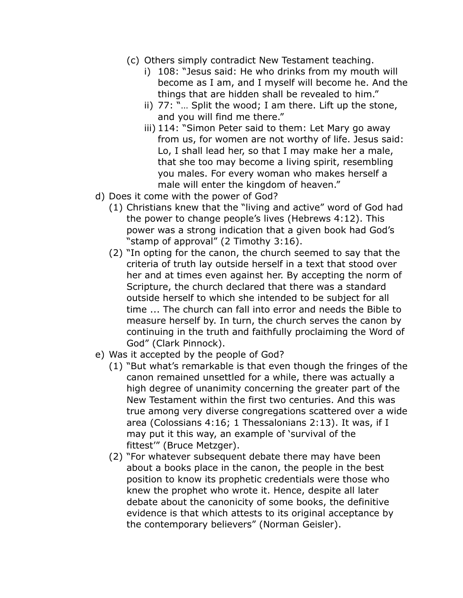- (c) Others simply contradict New Testament teaching.
	- i) 108: "Jesus said: He who drinks from my mouth will become as I am, and I myself will become he. And the things that are hidden shall be revealed to him."
	- ii) 77: "… Split the wood; I am there. Lift up the stone, and you will find me there."
	- iii) 114: "Simon Peter said to them: Let Mary go away from us, for women are not worthy of life. Jesus said: Lo, I shall lead her, so that I may make her a male, that she too may become a living spirit, resembling you males. For every woman who makes herself a male will enter the kingdom of heaven."
- d) Does it come with the power of God?
	- (1) Christians knew that the "living and active" word of God had the power to change people's lives (Hebrews 4:12). This power was a strong indication that a given book had God's "stamp of approval" (2 Timothy 3:16).
	- (2) "In opting for the canon, the church seemed to say that the criteria of truth lay outside herself in a text that stood over her and at times even against her. By accepting the norm of Scripture, the church declared that there was a standard outside herself to which she intended to be subject for all time ... The church can fall into error and needs the Bible to measure herself by. In turn, the church serves the canon by continuing in the truth and faithfully proclaiming the Word of God" (Clark Pinnock).
- e) Was it accepted by the people of God?
	- (1) "But what's remarkable is that even though the fringes of the canon remained unsettled for a while, there was actually a high degree of unanimity concerning the greater part of the New Testament within the first two centuries. And this was true among very diverse congregations scattered over a wide area (Colossians 4:16; 1 Thessalonians 2:13). It was, if I may put it this way, an example of 'survival of the fittest'" (Bruce Metzger).
	- (2) "For whatever subsequent debate there may have been about a books place in the canon, the people in the best position to know its prophetic credentials were those who knew the prophet who wrote it. Hence, despite all later debate about the canonicity of some books, the definitive evidence is that which attests to its original acceptance by the contemporary believers" (Norman Geisler).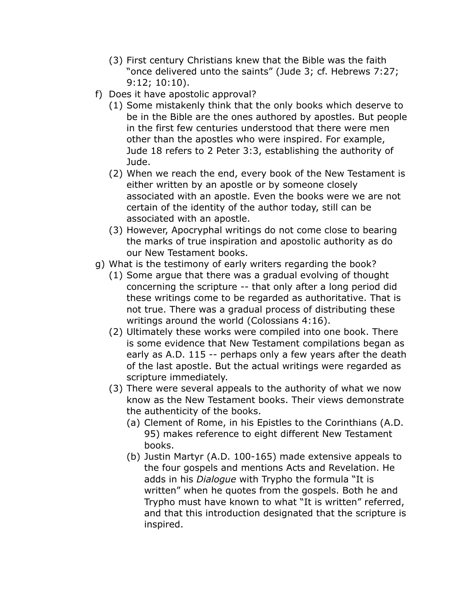- (3) First century Christians knew that the Bible was the faith "once delivered unto the saints" (Jude 3; cf. Hebrews 7:27; 9:12; 10:10).
- f) Does it have apostolic approval?
	- (1) Some mistakenly think that the only books which deserve to be in the Bible are the ones authored by apostles. But people in the first few centuries understood that there were men other than the apostles who were inspired. For example, Jude 18 refers to 2 Peter 3:3, establishing the authority of Jude.
	- (2) When we reach the end, every book of the New Testament is either written by an apostle or by someone closely associated with an apostle. Even the books were we are not certain of the identity of the author today, still can be associated with an apostle.
	- (3) However, Apocryphal writings do not come close to bearing the marks of true inspiration and apostolic authority as do our New Testament books.
- g) What is the testimony of early writers regarding the book?
	- (1) Some argue that there was a gradual evolving of thought concerning the scripture -- that only after a long period did these writings come to be regarded as authoritative. That is not true. There was a gradual process of distributing these writings around the world (Colossians 4:16).
	- (2) Ultimately these works were compiled into one book. There is some evidence that New Testament compilations began as early as A.D. 115 -- perhaps only a few years after the death of the last apostle. But the actual writings were regarded as scripture immediately.
	- (3) There were several appeals to the authority of what we now know as the New Testament books. Their views demonstrate the authenticity of the books.
		- (a) Clement of Rome, in his Epistles to the Corinthians (A.D. 95) makes reference to eight different New Testament books.
		- (b) Justin Martyr (A.D. 100-165) made extensive appeals to the four gospels and mentions Acts and Revelation. He adds in his *Dialogue* with Trypho the formula "It is written" when he quotes from the gospels. Both he and Trypho must have known to what "It is written" referred, and that this introduction designated that the scripture is inspired.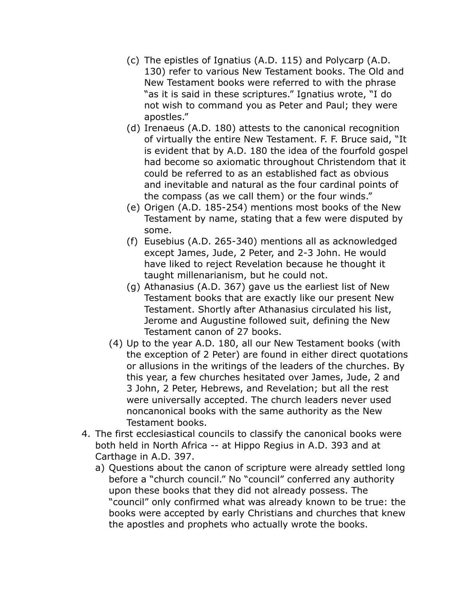- (c) The epistles of Ignatius (A.D. 115) and Polycarp (A.D. 130) refer to various New Testament books. The Old and New Testament books were referred to with the phrase "as it is said in these scriptures." Ignatius wrote, "I do not wish to command you as Peter and Paul; they were apostles."
- (d) Irenaeus (A.D. 180) attests to the canonical recognition of virtually the entire New Testament. F. F. Bruce said, "It is evident that by A.D. 180 the idea of the fourfold gospel had become so axiomatic throughout Christendom that it could be referred to as an established fact as obvious and inevitable and natural as the four cardinal points of the compass (as we call them) or the four winds."
- (e) Origen (A.D. 185-254) mentions most books of the New Testament by name, stating that a few were disputed by some.
- (f) Eusebius (A.D. 265-340) mentions all as acknowledged except James, Jude, 2 Peter, and 2-3 John. He would have liked to reject Revelation because he thought it taught millenarianism, but he could not.
- (g) Athanasius (A.D. 367) gave us the earliest list of New Testament books that are exactly like our present New Testament. Shortly after Athanasius circulated his list, Jerome and Augustine followed suit, defining the New Testament canon of 27 books.
- (4) Up to the year A.D. 180, all our New Testament books (with the exception of 2 Peter) are found in either direct quotations or allusions in the writings of the leaders of the churches. By this year, a few churches hesitated over James, Jude, 2 and 3 John, 2 Peter, Hebrews, and Revelation; but all the rest were universally accepted. The church leaders never used noncanonical books with the same authority as the New Testament books.
- 4. The first ecclesiastical councils to classify the canonical books were both held in North Africa -- at Hippo Regius in A.D. 393 and at Carthage in A.D. 397.
	- a) Questions about the canon of scripture were already settled long before a "church council." No "council" conferred any authority upon these books that they did not already possess. The "council" only confirmed what was already known to be true: the books were accepted by early Christians and churches that knew the apostles and prophets who actually wrote the books.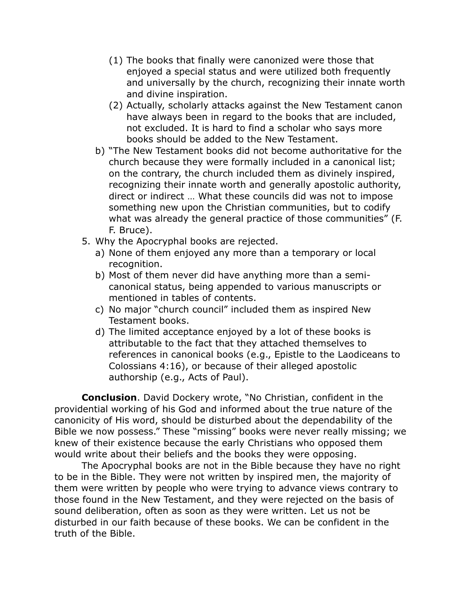- (1) The books that finally were canonized were those that enjoyed a special status and were utilized both frequently and universally by the church, recognizing their innate worth and divine inspiration.
- (2) Actually, scholarly attacks against the New Testament canon have always been in regard to the books that are included, not excluded. It is hard to find a scholar who says more books should be added to the New Testament.
- b) "The New Testament books did not become authoritative for the church because they were formally included in a canonical list; on the contrary, the church included them as divinely inspired, recognizing their innate worth and generally apostolic authority, direct or indirect … What these councils did was not to impose something new upon the Christian communities, but to codify what was already the general practice of those communities" (F. F. Bruce).
- 5. Why the Apocryphal books are rejected.
	- a) None of them enjoyed any more than a temporary or local recognition.
	- b) Most of them never did have anything more than a semicanonical status, being appended to various manuscripts or mentioned in tables of contents.
	- c) No major "church council" included them as inspired New Testament books.
	- d) The limited acceptance enjoyed by a lot of these books is attributable to the fact that they attached themselves to references in canonical books (e.g., Epistle to the Laodiceans to Colossians 4:16), or because of their alleged apostolic authorship (e.g., Acts of Paul).

**Conclusion**. David Dockery wrote, "No Christian, confident in the providential working of his God and informed about the true nature of the canonicity of His word, should be disturbed about the dependability of the Bible we now possess." These "missing" books were never really missing; we knew of their existence because the early Christians who opposed them would write about their beliefs and the books they were opposing.

The Apocryphal books are not in the Bible because they have no right to be in the Bible. They were not written by inspired men, the majority of them were written by people who were trying to advance views contrary to those found in the New Testament, and they were rejected on the basis of sound deliberation, often as soon as they were written. Let us not be disturbed in our faith because of these books. We can be confident in the truth of the Bible.